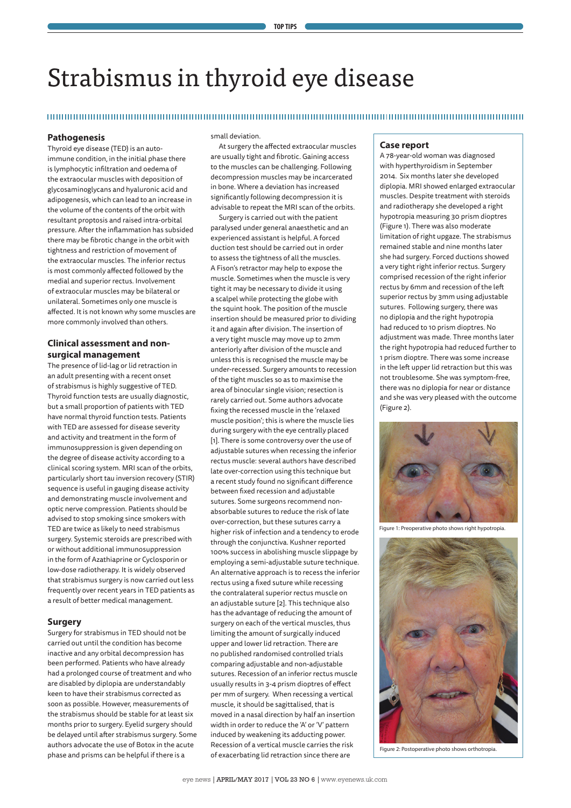# Strabismus in thyroid eye disease

#### 

### **Pathogenesis**

Thyroid eye disease (TED) is an autoimmune condition, in the initial phase there is lymphocytic infiltration and oedema of the extraocular muscles with deposition of glycosaminoglycans and hyaluronic acid and adipogenesis, which can lead to an increase in the volume of the contents of the orbit with resultant proptosis and raised intra-orbital pressure. After the inflammation has subsided there may be fibrotic change in the orbit with tightness and restriction of movement of the extraocular muscles. The inferior rectus is most commonly affected followed by the medial and superior rectus. Involvement of extraocular muscles may be bilateral or unilateral. Sometimes only one muscle is affected. It is not known why some muscles are more commonly involved than others.

# **Clinical assessment and nonsurgical management**

The presence of lid-lag or lid retraction in an adult presenting with a recent onset of strabismus is highly suggestive of TED. Thyroid function tests are usually diagnostic, but a small proportion of patients with TED have normal thyroid function tests. Patients with TED are assessed for disease severity and activity and treatment in the form of immunosuppression is given depending on the degree of disease activity according to a clinical scoring system. MRI scan of the orbits, particularly short tau inversion recovery (STIR) sequence is useful in gauging disease activity and demonstrating muscle involvement and optic nerve compression. Patients should be advised to stop smoking since smokers with TED are twice as likely to need strabismus surgery. Systemic steroids are prescribed with or without additional immunosuppression in the form of Azathiaprine or Cyclosporin or low-dose radiotherapy. It is widely observed that strabismus surgery is now carried out less frequently over recent years in TED patients as a result of better medical management.

#### **Surgery**

Surgery for strabismus in TED should not be carried out until the condition has become inactive and any orbital decompression has been performed. Patients who have already had a prolonged course of treatment and who are disabled by diplopia are understandably keen to have their strabismus corrected as soon as possible. However, measurements of the strabismus should be stable for at least six months prior to surgery. Eyelid surgery should be delayed until after strabismus surgery. Some authors advocate the use of Botox in the acute phase and prisms can be helpful if there is a

small deviation.

At surgery the affected extraocular muscles are usually tight and fibrotic. Gaining access to the muscles can be challenging. Following decompression muscles may be incarcerated in bone. Where a deviation has increased significantly following decompression it is advisable to repeat the MRI scan of the orbits.

Surgery is carried out with the patient paralysed under general anaesthetic and an experienced assistant is helpful. A forced duction test should be carried out in order to assess the tightness of all the muscles. A Fison's retractor may help to expose the muscle. Sometimes when the muscle is very tight it may be necessary to divide it using a scalpel while protecting the globe with the squint hook. The position of the muscle insertion should be measured prior to dividing it and again after division. The insertion of a very tight muscle may move up to 2mm anteriorly after division of the muscle and unless this is recognised the muscle may be under-recessed. Surgery amounts to recession of the tight muscles so as to maximise the area of binocular single vision; resection is rarely carried out. Some authors advocate fixing the recessed muscle in the 'relaxed muscle position'; this is where the muscle lies during surgery with the eye centrally placed [1]. There is some controversy over the use of adjustable sutures when recessing the inferior rectus muscle: several authors have described late over-correction using this technique but a recent study found no significant difference between fixed recession and adjustable sutures. Some surgeons recommend nonabsorbable sutures to reduce the risk of late over-correction, but these sutures carry a higher risk of infection and a tendency to erode through the conjunctiva. Kushner reported 100% success in abolishing muscle slippage by employing a semi-adjustable suture technique. An alternative approach is to recess the inferior rectus using a fixed suture while recessing the contralateral superior rectus muscle on an adjustable suture [2]. This technique also has the advantage of reducing the amount of surgery on each of the vertical muscles, thus limiting the amount of surgically induced upper and lower lid retraction. There are no published randomised controlled trials comparing adjustable and non-adjustable sutures. Recession of an inferior rectus muscle usually results in 3-4 prism dioptres of effect per mm of surgery. When recessing a vertical muscle, it should be sagittalised, that is moved in a nasal direction by half an insertion width in order to reduce the 'A' or 'V' pattern induced by weakening its adducting power. Recession of a vertical muscle carries the risk of exacerbating lid retraction since there are

#### **Case report**

A 78-year-old woman was diagnosed with hyperthyroidism in September 2014. Six months later she developed diplopia. MRI showed enlarged extraocular muscles. Despite treatment with steroids and radiotherapy she developed a right hypotropia measuring 30 prism dioptres (Figure 1). There was also moderate limitation of right upgaze. The strabismus remained stable and nine months later she had surgery. Forced ductions showed a very tight right inferior rectus. Surgery comprised recession of the right inferior rectus by 6mm and recession of the left superior rectus by 3mm using adjustable sutures. Following surgery, there was no diplopia and the right hypotropia had reduced to 10 prism dioptres. No adjustment was made. Three months later the right hypotropia had reduced further to 1 prism dioptre. There was some increase in the left upper lid retraction but this was not troublesome. She was symptom-free, there was no diplopia for near or distance and she was very pleased with the outcome (Figure 2).



Figure 1: Preoperative photo shows right hypotropia.



Figure 2: Postoperative photo shows orthotropia.